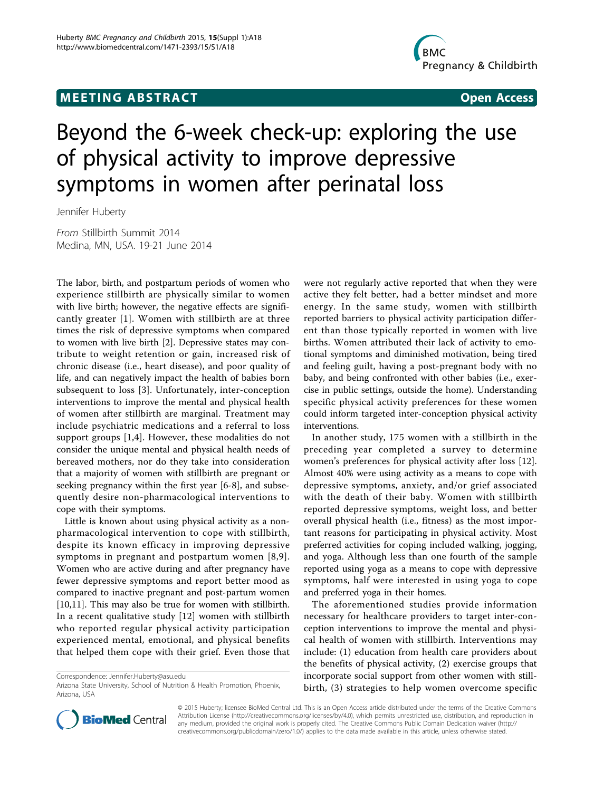## **MEETING ABSTRACT ACCESS**



# Beyond the 6-week check-up: exploring the use of physical activity to improve depressive symptoms in women after perinatal loss

Jennifer Huberty

From Stillbirth Summit 2014 Medina, MN, USA. 19-21 June 2014

The labor, birth, and postpartum periods of women who experience stillbirth are physically similar to women with live birth; however, the negative effects are significantly greater [[1\]](#page-1-0). Women with stillbirth are at three times the risk of depressive symptoms when compared to women with live birth [[2\]](#page-1-0). Depressive states may contribute to weight retention or gain, increased risk of chronic disease (i.e., heart disease), and poor quality of life, and can negatively impact the health of babies born subsequent to loss [[3\]](#page-1-0). Unfortunately, inter-conception interventions to improve the mental and physical health of women after stillbirth are marginal. Treatment may include psychiatric medications and a referral to loss support groups [\[1](#page-1-0),[4\]](#page-1-0). However, these modalities do not consider the unique mental and physical health needs of bereaved mothers, nor do they take into consideration that a majority of women with stillbirth are pregnant or seeking pregnancy within the first year [\[6-8](#page-1-0)], and subsequently desire non-pharmacological interventions to cope with their symptoms.

Little is known about using physical activity as a nonpharmacological intervention to cope with stillbirth, despite its known efficacy in improving depressive symptoms in pregnant and postpartum women [[8](#page-1-0),[9\]](#page-1-0). Women who are active during and after pregnancy have fewer depressive symptoms and report better mood as compared to inactive pregnant and post-partum women [[10,11\]](#page-1-0). This may also be true for women with stillbirth. In a recent qualitative study [[12\]](#page-1-0) women with stillbirth who reported regular physical activity participation experienced mental, emotional, and physical benefits that helped them cope with their grief. Even those that were not regularly active reported that when they were active they felt better, had a better mindset and more energy. In the same study, women with stillbirth reported barriers to physical activity participation different than those typically reported in women with live births. Women attributed their lack of activity to emotional symptoms and diminished motivation, being tired and feeling guilt, having a post-pregnant body with no baby, and being confronted with other babies (i.e., exercise in public settings, outside the home). Understanding specific physical activity preferences for these women could inform targeted inter-conception physical activity interventions.

In another study, 175 women with a stillbirth in the preceding year completed a survey to determine women's preferences for physical activity after loss [\[12](#page-1-0)]. Almost 40% were using activity as a means to cope with depressive symptoms, anxiety, and/or grief associated with the death of their baby. Women with stillbirth reported depressive symptoms, weight loss, and better overall physical health (i.e., fitness) as the most important reasons for participating in physical activity. Most preferred activities for coping included walking, jogging, and yoga. Although less than one fourth of the sample reported using yoga as a means to cope with depressive symptoms, half were interested in using yoga to cope and preferred yoga in their homes.

The aforementioned studies provide information necessary for healthcare providers to target inter-conception interventions to improve the mental and physical health of women with stillbirth. Interventions may include: (1) education from health care providers about the benefits of physical activity, (2) exercise groups that incorporate social support from other women with stillbirth, (3) strategies to help women overcome specific



© 2015 Huberty; licensee BioMed Central Ltd. This is an Open Access article distributed under the terms of the Creative Commons Attribution License [\(http://creativecommons.org/licenses/by/4.0](http://creativecommons.org/licenses/by/4.0)), which permits unrestricted use, distribution, and reproduction in any medium, provided the original work is properly cited. The Creative Commons Public Domain Dedication waiver [\(http://](http://creativecommons.org/publicdomain/zero/1.0/) [creativecommons.org/publicdomain/zero/1.0/](http://creativecommons.org/publicdomain/zero/1.0/)) applies to the data made available in this article, unless otherwise stated.

Correspondence: [Jennifer.Huberty@asu.edu](mailto:Jennifer.Huberty@asu.edu)

Arizona State University, School of Nutrition & Health Promotion, Phoenix, Arizona, USA